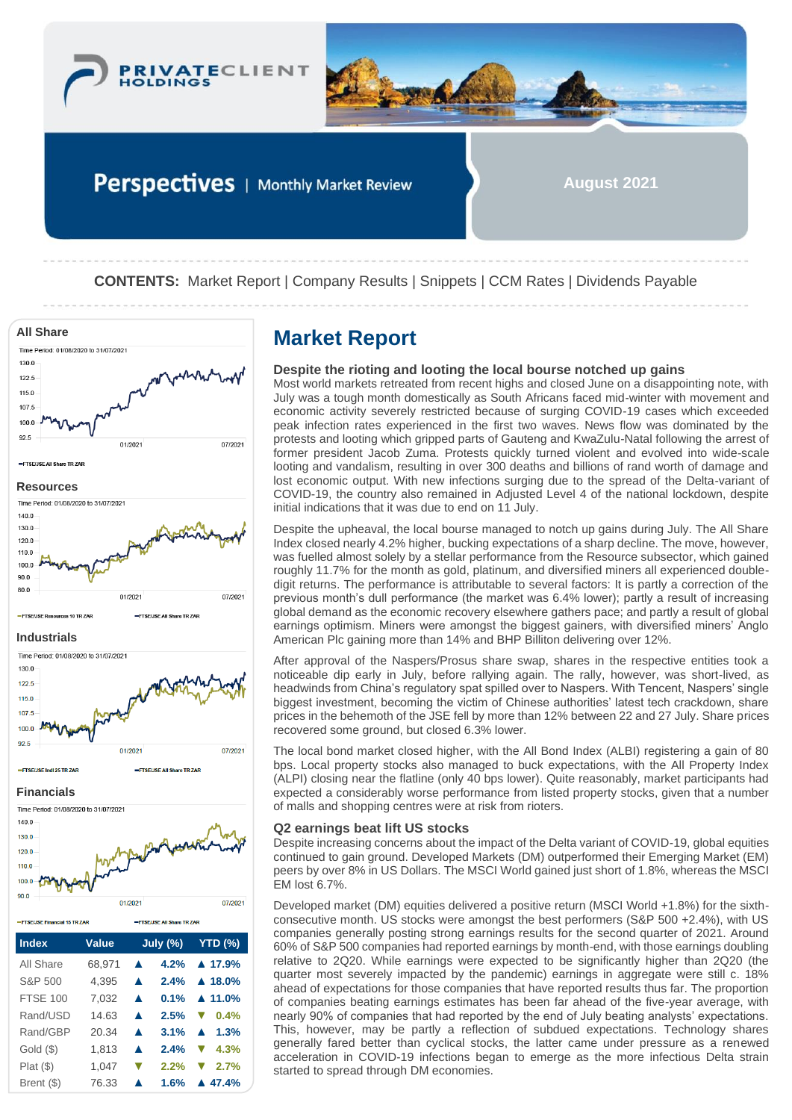



Perspectives | Monthly Market Review

**August 2021**

**CONTENTS:** Market Report | Company Results | Snippets | CCM Rates | Dividends Payable



| =FTSE/JSE Financial 15 TR ZAR |        | <b>ETSELISE All Share TR ZAR</b> |                          |  |  |
|-------------------------------|--------|----------------------------------|--------------------------|--|--|
| <b>Index</b>                  | Value  | July $(\%)$                      | <b>YTD (%)</b>           |  |  |
| All Share                     | 68,971 | 4.2%<br>▲                        | $\triangle$ 17.9%        |  |  |
| S&P 500                       | 4.395  | 2.4%<br>▲                        | $\triangle$ 18.0%        |  |  |
| <b>FTSF 100</b>               | 7.032  | 0.1%<br>▲                        | $\triangle$ 11.0%        |  |  |
| Rand/USD                      | 14.63  | 2.5%<br>$\blacktriangle$         | 0.4%                     |  |  |
| Rand/GBP                      | 20.34  | 3.1%<br>▲                        | 1.3%<br>$\blacktriangle$ |  |  |
| $Gold$ $(\$)$                 | 1.813  | 2.4%<br>▲                        | 4.3%                     |  |  |
| Plat(S)                       | 1.047  | 2.2%<br>$\blacktriangledown$     | 2.7%                     |  |  |
| Brent (\$)                    | 76.33  | 1.6%                             | $\triangle$ 47.4%        |  |  |

# **Despite the rioting and looting the local bourse notched up gains**

Most world markets retreated from recent highs and closed June on a disappointing note, with July was a tough month domestically as South Africans faced mid-winter with movement and economic activity severely restricted because of surging COVID-19 cases which exceeded peak infection rates experienced in the first two waves. News flow was dominated by the protests and looting which gripped parts of Gauteng and KwaZulu-Natal following the arrest of former president Jacob Zuma. Protests quickly turned violent and evolved into wide-scale looting and vandalism, resulting in over 300 deaths and billions of rand worth of damage and lost economic output. With new infections surging due to the spread of the Delta-variant of COVID-19, the country also remained in Adjusted Level 4 of the national lockdown, despite initial indications that it was due to end on 11 July.

Despite the upheaval, the local bourse managed to notch up gains during July. The All Share Index closed nearly 4.2% higher, bucking expectations of a sharp decline. The move, however, was fuelled almost solely by a stellar performance from the Resource subsector, which gained roughly 11.7% for the month as gold, platinum, and diversified miners all experienced doubledigit returns. The performance is attributable to several factors: It is partly a correction of the previous month's dull performance (the market was 6.4% lower); partly a result of increasing global demand as the economic recovery elsewhere gathers pace; and partly a result of global earnings optimism. Miners were amongst the biggest gainers, with diversified miners' Anglo American Plc gaining more than 14% and BHP Billiton delivering over 12%.

After approval of the Naspers/Prosus share swap, shares in the respective entities took a noticeable dip early in July, before rallying again. The rally, however, was short-lived, as headwinds from China's regulatory spat spilled over to Naspers. With Tencent, Naspers' single biggest investment, becoming the victim of Chinese authorities' latest tech crackdown, share prices in the behemoth of the JSE fell by more than 12% between 22 and 27 July. Share prices recovered some ground, but closed 6.3% lower.

The local bond market closed higher, with the All Bond Index (ALBI) registering a gain of 80 bps. Local property stocks also managed to buck expectations, with the All Property Index (ALPI) closing near the flatline (only 40 bps lower). Quite reasonably, market participants had expected a considerably worse performance from listed property stocks, given that a number of malls and shopping centres were at risk from rioters.

# **Q2 earnings beat lift US stocks**

Despite increasing concerns about the impact of the Delta variant of COVID-19, global equities continued to gain ground. Developed Markets (DM) outperformed their Emerging Market (EM) peers by over 8% in US Dollars. The MSCI World gained just short of 1.8%, whereas the MSCI EM lost 6.7%.

Developed market (DM) equities delivered a positive return (MSCI World +1.8%) for the sixthconsecutive month. US stocks were amongst the best performers (S&P 500 +2.4%), with US companies generally posting strong earnings results for the second quarter of 2021. Around 60% of S&P 500 companies had reported earnings by month-end, with those earnings doubling relative to 2Q20. While earnings were expected to be significantly higher than 2Q20 (the quarter most severely impacted by the pandemic) earnings in aggregate were still c. 18% ahead of expectations for those companies that have reported results thus far. The proportion of companies beating earnings estimates has been far ahead of the five-year average, with nearly 90% of companies that had reported by the end of July beating analysts' expectations. This, however, may be partly a reflection of subdued expectations. Technology shares generally fared better than cyclical stocks, the latter came under pressure as a renewed acceleration in COVID-19 infections began to emerge as the more infectious Delta strain started to spread through DM economies.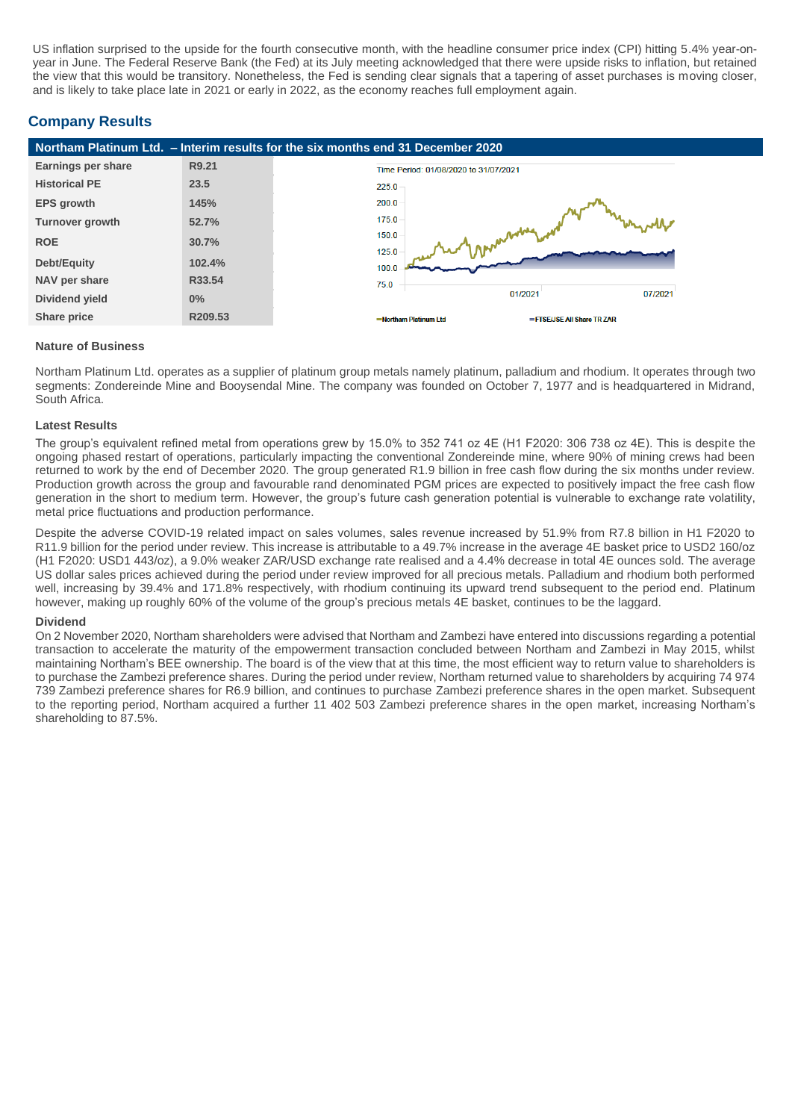US inflation surprised to the upside for the fourth consecutive month, with the headline consumer price index (CPI) hitting 5.4% year-onyear in June. The Federal Reserve Bank (the Fed) at its July meeting acknowledged that there were upside risks to inflation, but retained the view that this would be transitory. Nonetheless, the Fed is sending clear signals that a tapering of asset purchases is moving closer, and is likely to take place late in 2021 or early in 2022, as the economy reaches full employment again.

# **Company Results**

| Northam Platinum Ltd. - Interim results for the six months end 31 December 2020 |         |       |                                       |                            |         |  |
|---------------------------------------------------------------------------------|---------|-------|---------------------------------------|----------------------------|---------|--|
| Earnings per share                                                              | R9.21   |       | Time Period: 01/08/2020 to 31/07/2021 |                            |         |  |
| <b>Historical PE</b>                                                            | 23.5    | 225.0 |                                       |                            |         |  |
| <b>EPS</b> growth                                                               | 145%    | 200.0 |                                       |                            |         |  |
| <b>Turnover growth</b>                                                          | 52.7%   | 175.0 |                                       |                            |         |  |
| <b>ROE</b>                                                                      | 30.7%   | 150.0 |                                       |                            |         |  |
| Debt/Equity                                                                     | 102.4%  | 125.0 |                                       |                            |         |  |
|                                                                                 | R33.54  | 100.0 |                                       |                            |         |  |
| NAV per share                                                                   |         | 75.0  | 01/2021                               |                            | 07/2021 |  |
| Dividend yield                                                                  | 0%      |       |                                       |                            |         |  |
| Share price                                                                     | R209.53 |       | -Northam Platinum Ltd                 | =FTSE/JSE All Share TR ZAR |         |  |

#### **Nature of Business**

Northam Platinum Ltd. operates as a supplier of platinum group metals namely platinum, palladium and rhodium. It operates through two segments: Zondereinde Mine and Booysendal Mine. The company was founded on October 7, 1977 and is headquartered in Midrand, South Africa.

#### **Latest Results**

The group's equivalent refined metal from operations grew by 15.0% to 352 741 oz 4E (H1 F2020: 306 738 oz 4E). This is despite the ongoing phased restart of operations, particularly impacting the conventional Zondereinde mine, where 90% of mining crews had been returned to work by the end of December 2020. The group generated R1.9 billion in free cash flow during the six months under review. Production growth across the group and favourable rand denominated PGM prices are expected to positively impact the free cash flow generation in the short to medium term. However, the group's future cash generation potential is vulnerable to exchange rate volatility, metal price fluctuations and production performance.

Despite the adverse COVID-19 related impact on sales volumes, sales revenue increased by 51.9% from R7.8 billion in H1 F2020 to R11.9 billion for the period under review. This increase is attributable to a 49.7% increase in the average 4E basket price to USD2 160/oz (H1 F2020: USD1 443/oz), a 9.0% weaker ZAR/USD exchange rate realised and a 4.4% decrease in total 4E ounces sold. The average US dollar sales prices achieved during the period under review improved for all precious metals. Palladium and rhodium both performed well, increasing by 39.4% and 171.8% respectively, with rhodium continuing its upward trend subsequent to the period end. Platinum however, making up roughly 60% of the volume of the group's precious metals 4E basket, continues to be the laggard.

#### **Dividend**

On 2 November 2020, Northam shareholders were advised that Northam and Zambezi have entered into discussions regarding a potential transaction to accelerate the maturity of the empowerment transaction concluded between Northam and Zambezi in May 2015, whilst maintaining Northam's BEE ownership. The board is of the view that at this time, the most efficient way to return value to shareholders is to purchase the Zambezi preference shares. During the period under review, Northam returned value to shareholders by acquiring 74 974 739 Zambezi preference shares for R6.9 billion, and continues to purchase Zambezi preference shares in the open market. Subsequent to the reporting period, Northam acquired a further 11 402 503 Zambezi preference shares in the open market, increasing Northam's shareholding to 87.5%.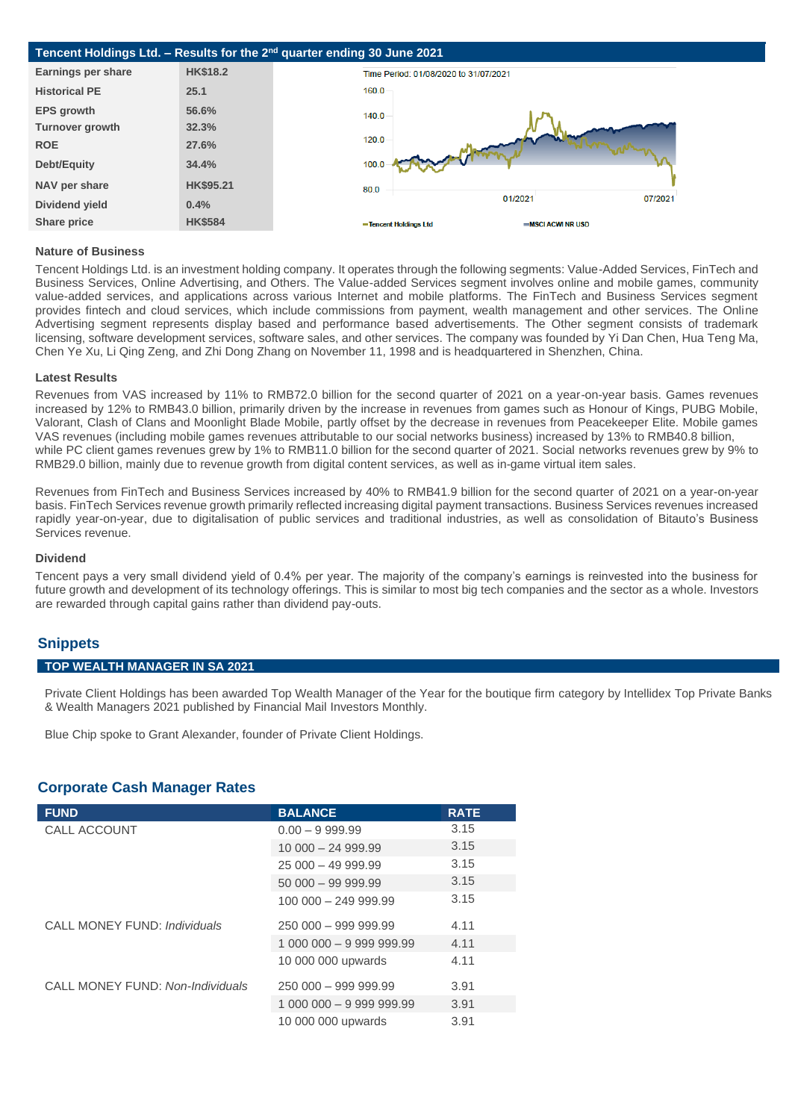

#### **Nature of Business**

Tencent Holdings Ltd. is an investment holding company. It operates through the following segments: Value-Added Services, FinTech and Business Services, Online Advertising, and Others. The Value-added Services segment involves online and mobile games, community value-added services, and applications across various Internet and mobile platforms. The FinTech and Business Services segment provides fintech and cloud services, which include commissions from payment, wealth management and other services. The Online Advertising segment represents display based and performance based advertisements. The Other segment consists of trademark licensing, software development services, software sales, and other services. The company was founded by Yi Dan Chen, Hua Teng Ma, Chen Ye Xu, Li Qing Zeng, and Zhi Dong Zhang on November 11, 1998 and is headquartered in Shenzhen, China.

#### **Latest Results**

Revenues from VAS increased by 11% to RMB72.0 billion for the second quarter of 2021 on a year-on-year basis. Games revenues increased by 12% to RMB43.0 billion, primarily driven by the increase in revenues from games such as Honour of Kings, PUBG Mobile, Valorant, Clash of Clans and Moonlight Blade Mobile, partly offset by the decrease in revenues from Peacekeeper Elite. Mobile games VAS revenues (including mobile games revenues attributable to our social networks business) increased by 13% to RMB40.8 billion, while PC client games revenues grew by 1% to RMB11.0 billion for the second quarter of 2021. Social networks revenues grew by 9% to RMB29.0 billion, mainly due to revenue growth from digital content services, as well as in-game virtual item sales.

Revenues from FinTech and Business Services increased by 40% to RMB41.9 billion for the second quarter of 2021 on a year-on-year basis. FinTech Services revenue growth primarily reflected increasing digital payment transactions. Business Services revenues increased rapidly year-on-year, due to digitalisation of public services and traditional industries, as well as consolidation of Bitauto's Business Services revenue.

#### **Dividend**

Tencent pays a very small dividend yield of 0.4% per year. The majority of the company's earnings is reinvested into the business for future growth and development of its technology offerings. This is similar to most big tech companies and the sector as a whole. Investors are rewarded through capital gains rather than dividend pay-outs.

# **Snippets**

### **TOP WEALTH MANAGER IN SA 2021**

Private Client Holdings has been awarded Top Wealth Manager of the Year for the boutique firm category by Intellidex Top Private Banks & Wealth Managers 2021 published by Financial Mail Investors Monthly.

Blue Chip spoke to Grant Alexander, founder of Private Client Holdings.

# **Corporate Cash Manager Rates**

| <b>FUND</b>                      | <b>BALANCE</b>           | <b>RATE</b> |
|----------------------------------|--------------------------|-------------|
| CALL ACCOUNT                     | $0.00 - 9.999.99$        | 3.15        |
|                                  | $10000 - 2499.99$        | 3.15        |
|                                  | $25000 - 4999.99$        | 3.15        |
|                                  | $50000 - 9999.99$        | 3.15        |
|                                  | 100 000 - 249 999.99     | 3.15        |
| CALL MONEY FUND: Individuals     | $250000 - 999999.99$     | 4.11        |
|                                  |                          | 4.11        |
|                                  | 10 000 000 upwards       | 4.11        |
| CALL MONEY FUND: Non-Individuals | $250000 - 999999.99$     | 3.91        |
|                                  | 1 000 000 - 9 999 999.99 | 3.91        |
|                                  | 10 000 000 upwards       | 3.91        |